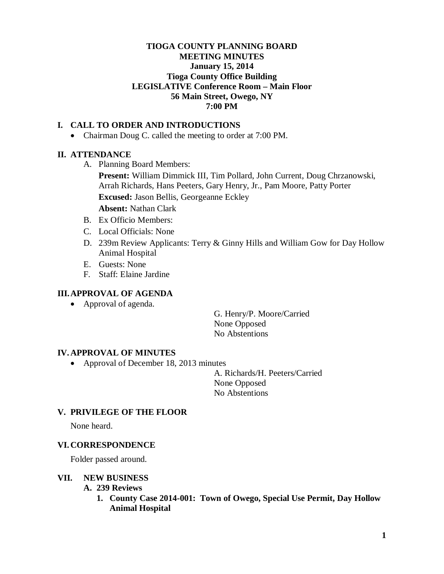# **TIOGA COUNTY PLANNING BOARD MEETING MINUTES January 15, 2014 Tioga County Office Building LEGISLATIVE Conference Room – Main Floor 56 Main Street, Owego, NY 7:00 PM**

# **I. CALL TO ORDER AND INTRODUCTIONS**

• Chairman Doug C. called the meeting to order at 7:00 PM.

## **II. ATTENDANCE**

A. Planning Board Members:

**Present:** William Dimmick III, Tim Pollard, John Current, Doug Chrzanowski, Arrah Richards, Hans Peeters, Gary Henry, Jr., Pam Moore, Patty Porter **Excused:** Jason Bellis, Georgeanne Eckley

**Absent:** Nathan Clark

- B. Ex Officio Members:
- C. Local Officials: None
- D. 239m Review Applicants: Terry & Ginny Hills and William Gow for Day Hollow Animal Hospital
- E. Guests: None
- F. Staff: Elaine Jardine

#### **III.APPROVAL OF AGENDA**

• Approval of agenda.

G. Henry/P. Moore/Carried None Opposed No Abstentions

#### **IV. APPROVAL OF MINUTES**

• Approval of December 18, 2013 minutes

A. Richards/H. Peeters/Carried None Opposed No Abstentions

## **V. PRIVILEGE OF THE FLOOR**

None heard.

### **VI. CORRESPONDENCE**

Folder passed around.

#### **VII. NEW BUSINESS**

- **A. 239 Reviews**
	- **1. County Case 2014-001: Town of Owego, Special Use Permit, Day Hollow Animal Hospital**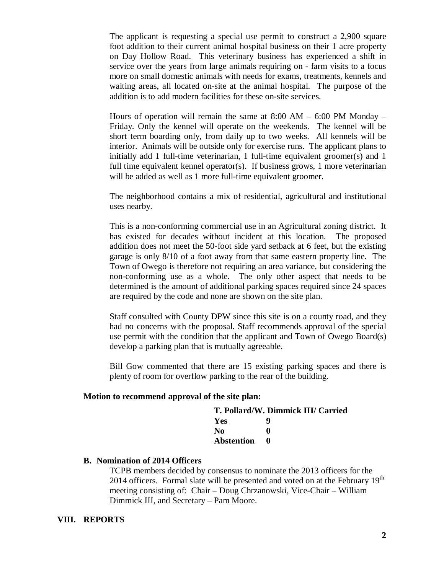The applicant is requesting a special use permit to construct a 2,900 square foot addition to their current animal hospital business on their 1 acre property on Day Hollow Road. This veterinary business has experienced a shift in service over the years from large animals requiring on - farm visits to a focus more on small domestic animals with needs for exams, treatments, kennels and waiting areas, all located on-site at the animal hospital. The purpose of the addition is to add modern facilities for these on-site services.

Hours of operation will remain the same at  $8:00 \text{ AM} - 6:00 \text{ PM}$  Monday – Friday. Only the kennel will operate on the weekends. The kennel will be short term boarding only, from daily up to two weeks. All kennels will be interior. Animals will be outside only for exercise runs. The applicant plans to initially add 1 full-time veterinarian, 1 full-time equivalent groomer(s) and 1 full time equivalent kennel operator(s). If business grows, 1 more veterinarian will be added as well as 1 more full-time equivalent groomer.

The neighborhood contains a mix of residential, agricultural and institutional uses nearby.

This is a non-conforming commercial use in an Agricultural zoning district. It has existed for decades without incident at this location. The proposed addition does not meet the 50-foot side yard setback at 6 feet, but the existing garage is only 8/10 of a foot away from that same eastern property line. The Town of Owego is therefore not requiring an area variance, but considering the non-conforming use as a whole. The only other aspect that needs to be determined is the amount of additional parking spaces required since 24 spaces are required by the code and none are shown on the site plan.

Staff consulted with County DPW since this site is on a county road, and they had no concerns with the proposal. Staff recommends approval of the special use permit with the condition that the applicant and Town of Owego Board(s) develop a parking plan that is mutually agreeable.

Bill Gow commented that there are 15 existing parking spaces and there is plenty of room for overflow parking to the rear of the building.

#### **Motion to recommend approval of the site plan:**

| T. Pollard/W. Dimmick III/ Carried |   |
|------------------------------------|---|
| Yes                                | 9 |
| No.                                | o |
| <b>Abstention</b>                  |   |

#### **B. Nomination of 2014 Officers**

TCPB members decided by consensus to nominate the 2013 officers for the 2014 officers. Formal slate will be presented and voted on at the February  $19<sup>th</sup>$ meeting consisting of: Chair – Doug Chrzanowski, Vice-Chair – William Dimmick III, and Secretary – Pam Moore.

#### **VIII. REPORTS**